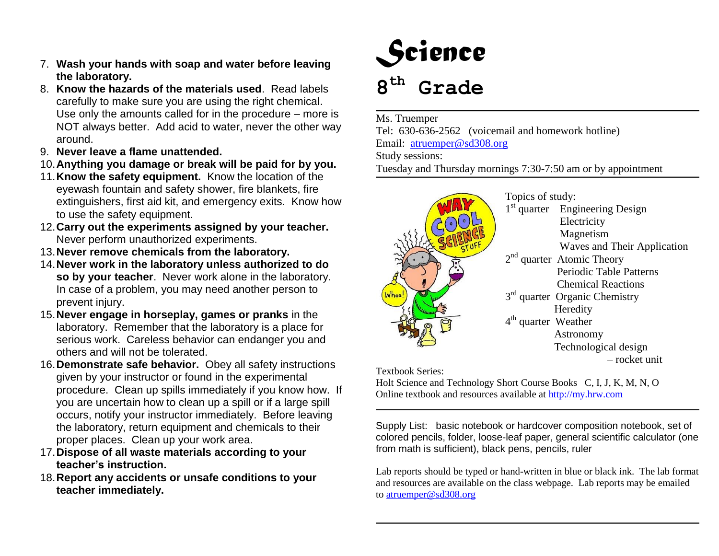- 7. **Wash your hands with soap and water before leaving the laboratory.**
- 8. **Know the hazards of the materials used**. Read labels carefully to make sure you are using the right chemical. Use only the amounts called for in the procedure – more is NOT always better. Add acid to water, never the other way around.
- 9. **Never leave a flame unattended.**
- 10.**Anything you damage or break will be paid for by you.**
- 11.**Know the safety equipment.** Know the location of the eyewash fountain and safety shower, fire blankets, fire extinguishers, first aid kit, and emergency exits. Know how to use the safety equipment.
- 12.**Carry out the experiments assigned by your teacher.** Never perform unauthorized experiments.
- 13.**Never remove chemicals from the laboratory.**
- 14.**Never work in the laboratory unless authorized to do so by your teacher**. Never work alone in the laboratory. In case of a problem, you may need another person to prevent injury.
- 15.**Never engage in horseplay, games or pranks** in the laboratory. Remember that the laboratory is a place for serious work. Careless behavior can endanger you and others and will not be tolerated.
- 16.**Demonstrate safe behavior.** Obey all safety instructions given by your instructor or found in the experimental procedure. Clean up spills immediately if you know how. If you are uncertain how to clean up a spill or if a large spill occurs, notify your instructor immediately. Before leaving the laboratory, return equipment and chemicals to their proper places. Clean up your work area.
- 17.**Dispose of all waste materials according to your teacher's instruction.**
- 18.**Report any accidents or unsafe conditions to your teacher immediately.**



Ms. Truemper Tel: 630-636-2562 (voicemail and homework hotline) Email: [atruemper@sd308.org](mailto:atruemper@sd308.org) Study sessions: Tuesday and Thursday mornings 7:30-7:50 am or by appointment

| o۵ | Topics of study:<br>1 <sup>st</sup> quarter Engineering Design<br>Electricity<br>Magnetism<br>Waves and Their Application<br>$2nd$ quarter Atomic Theory<br>Periodic Table Patterns<br><b>Chemical Reactions</b><br>3 <sup>rd</sup> quarter Organic Chemistry<br>Heredity<br>4 <sup>th</sup> quarter Weather |
|----|--------------------------------------------------------------------------------------------------------------------------------------------------------------------------------------------------------------------------------------------------------------------------------------------------------------|
|    | Astronomy                                                                                                                                                                                                                                                                                                    |
|    | Technological design<br>- rocket unit                                                                                                                                                                                                                                                                        |
|    |                                                                                                                                                                                                                                                                                                              |

Textbook Series:

Holt Science and Technology Short Course Books C, I, J, K, M, N, O Online textbook and resources available at [http://my.hrw.com](http://my.hrw.com/)

Supply List: basic notebook or hardcover composition notebook, set of colored pencils, folder, loose-leaf paper, general scientific calculator (one from math is sufficient), black pens, pencils, ruler

Lab reports should be typed or hand-written in blue or black ink. The lab format and resources are available on the class webpage. Lab reports may be emailed to [atruemper@sd308.org](mailto:atruemper@sd308.org)